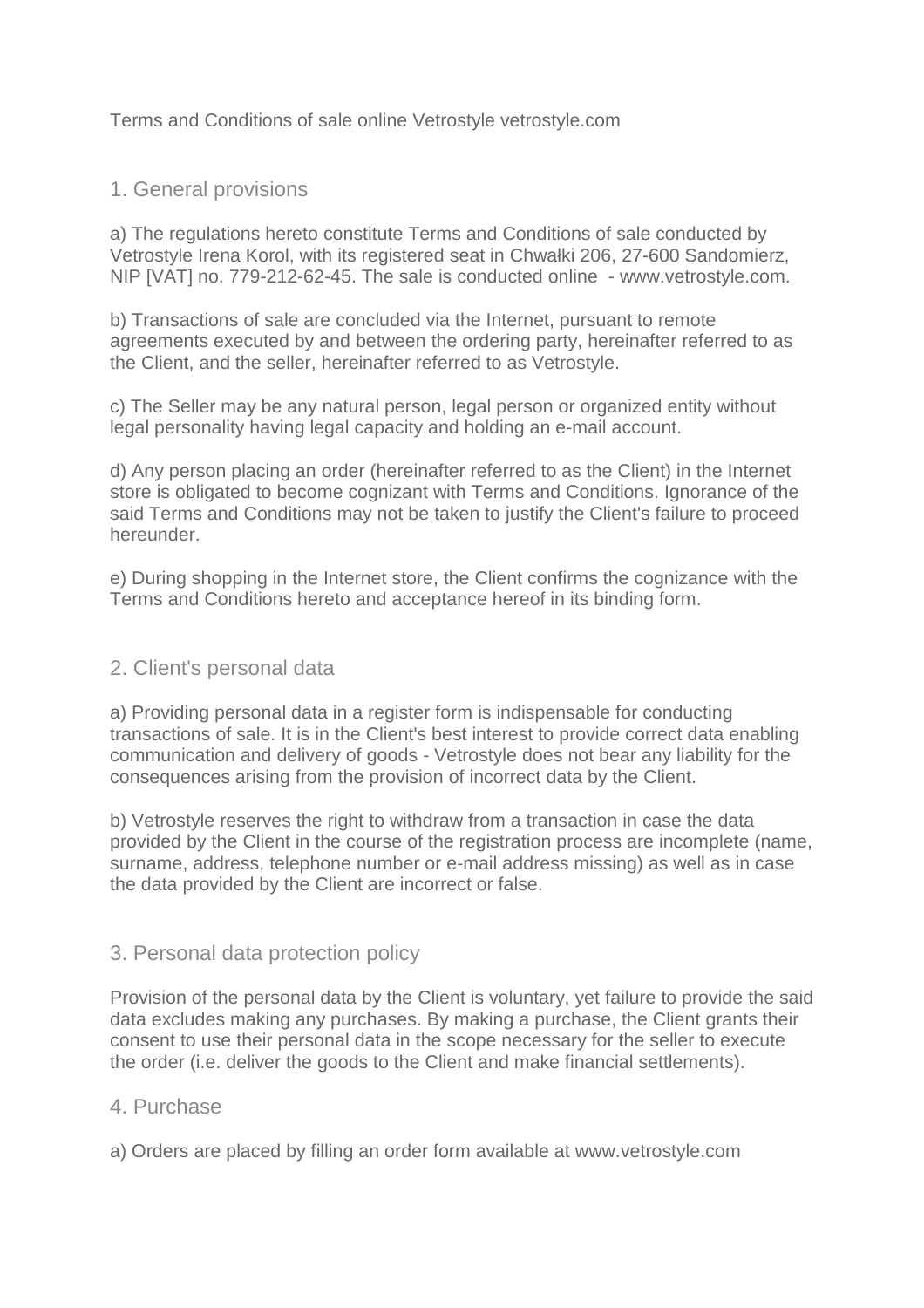Terms and Conditions of sale online Vetrostyle vetrostyle.com

## 1. General provisions

a) The regulations hereto constitute Terms and Conditions of sale conducted by Vetrostyle Irena Korol, with its registered seat in Chwałki 206, 27-600 Sandomierz, NIP [VAT] no. 779-212-62-45. The sale is conducted online - www.vetrostyle.com.

b) Transactions of sale are concluded via the Internet, pursuant to remote agreements executed by and between the ordering party, hereinafter referred to as the Client, and the seller, hereinafter referred to as Vetrostyle.

c) The Seller may be any natural person, legal person or organized entity without legal personality having legal capacity and holding an e-mail account.

d) Any person placing an order (hereinafter referred to as the Client) in the Internet store is obligated to become cognizant with Terms and Conditions. Ignorance of the said Terms and Conditions may not be taken to justify the Client's failure to proceed hereunder.

e) During shopping in the Internet store, the Client confirms the cognizance with the Terms and Conditions hereto and acceptance hereof in its binding form.

# 2. Client's personal data

a) Providing personal data in a register form is indispensable for conducting transactions of sale. It is in the Client's best interest to provide correct data enabling communication and delivery of goods - Vetrostyle does not bear any liability for the consequences arising from the provision of incorrect data by the Client.

b) Vetrostyle reserves the right to withdraw from a transaction in case the data provided by the Client in the course of the registration process are incomplete (name, surname, address, telephone number or e-mail address missing) as well as in case the data provided by the Client are incorrect or false.

### 3. Personal data protection policy

Provision of the personal data by the Client is voluntary, yet failure to provide the said data excludes making any purchases. By making a purchase, the Client grants their consent to use their personal data in the scope necessary for the seller to execute the order (i.e. deliver the goods to the Client and make financial settlements).

### 4. Purchase

a) Orders are placed by filling an order form available at www.vetrostyle.com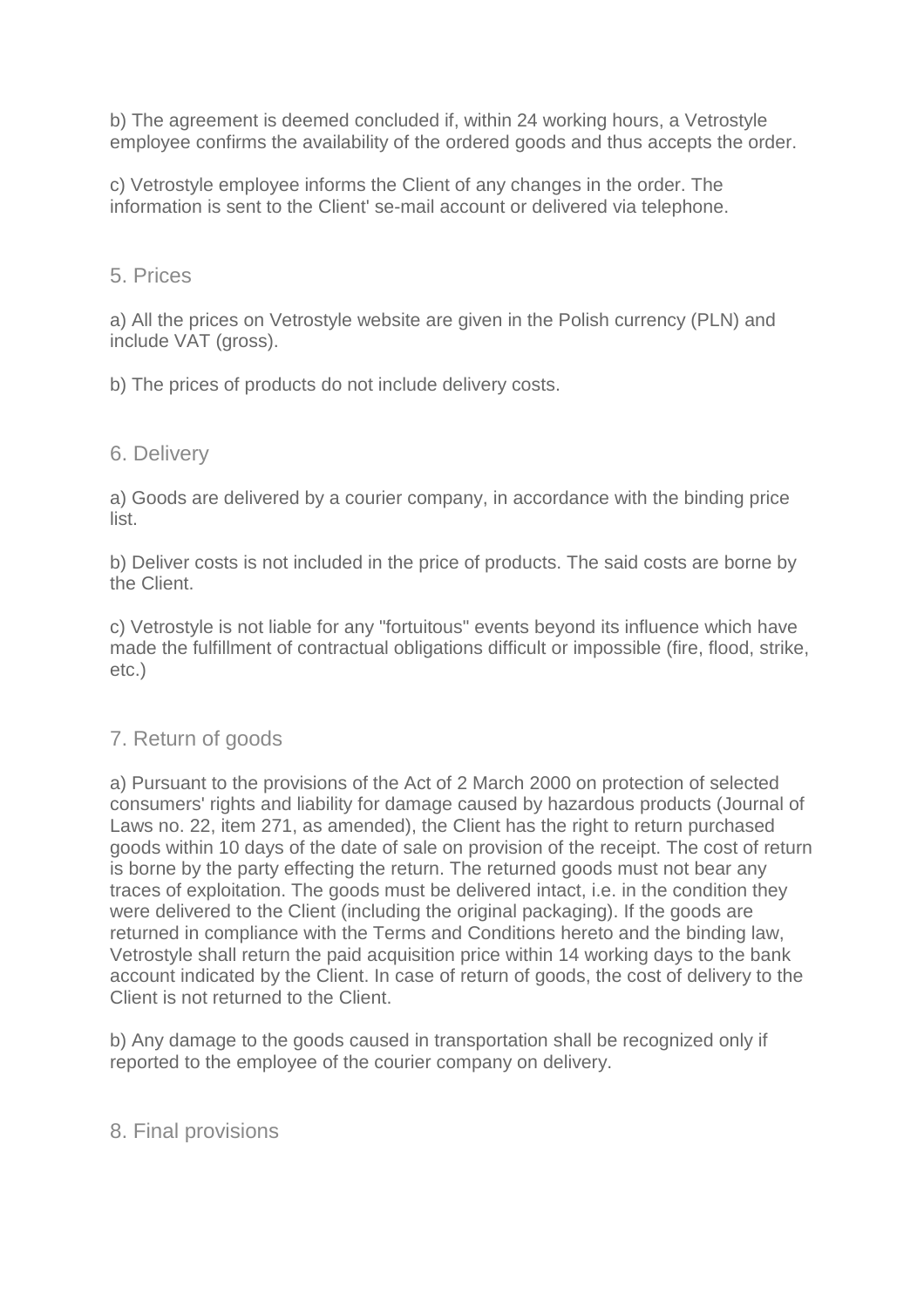b) The agreement is deemed concluded if, within 24 working hours, a Vetrostyle employee confirms the availability of the ordered goods and thus accepts the order.

c) Vetrostyle employee informs the Client of any changes in the order. The information is sent to the Client' se-mail account or delivered via telephone.

## 5. Prices

a) All the prices on Vetrostyle website are given in the Polish currency (PLN) and include VAT (gross).

b) The prices of products do not include delivery costs.

# 6. Delivery

a) Goods are delivered by a courier company, in accordance with the binding price list.

b) Deliver costs is not included in the price of products. The said costs are borne by the Client.

c) Vetrostyle is not liable for any "fortuitous" events beyond its influence which have made the fulfillment of contractual obligations difficult or impossible (fire, flood, strike, etc.)

# 7. Return of goods

a) Pursuant to the provisions of the Act of 2 March 2000 on protection of selected consumers' rights and liability for damage caused by hazardous products (Journal of Laws no. 22, item 271, as amended), the Client has the right to return purchased goods within 10 days of the date of sale on provision of the receipt. The cost of return is borne by the party effecting the return. The returned goods must not bear any traces of exploitation. The goods must be delivered intact, i.e. in the condition they were delivered to the Client (including the original packaging). If the goods are returned in compliance with the Terms and Conditions hereto and the binding law, Vetrostyle shall return the paid acquisition price within 14 working days to the bank account indicated by the Client. In case of return of goods, the cost of delivery to the Client is not returned to the Client.

b) Any damage to the goods caused in transportation shall be recognized only if reported to the employee of the courier company on delivery.

### 8. Final provisions